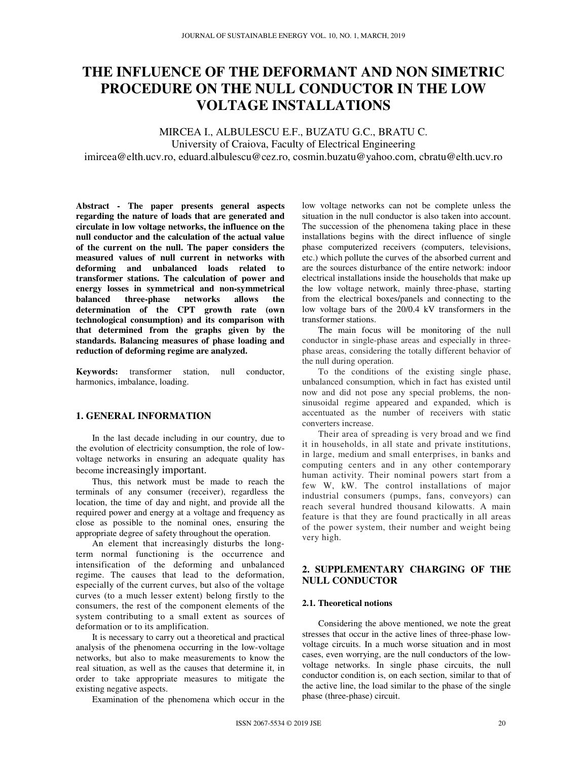# **THE INFLUENCE OF THE DEFORMANT AND NON SIMETRIC PROCEDURE ON THE NULL CONDUCTOR IN THE LOW VOLTAGE INSTALLATIONS**

MIRCEA I., ALBULESCU E.F., BUZATU G.C., BRATU C. University of Craiova, Faculty of Electrical Engineering imircea@elth.ucv.ro, eduard.albulescu@cez.ro, cosmin.buzatu@yahoo.com, cbratu@elth.ucv.ro

**Abstract - The paper presents general aspects regarding the nature of loads that are generated and circulate in low voltage networks, the influence on the null conductor and the calculation of the actual value of the current on the null. The paper considers the measured values of null current in networks with deforming and unbalanced loads related to transformer stations. The calculation of power and energy losses in symmetrical and non-symmetrical balanced three-phase networks allows the determination of the CPT growth rate (own technological consumption) and its comparison with that determined from the graphs given by the standards. Balancing measures of phase loading and reduction of deforming regime are analyzed.** 

**Keywords:** transformer station, null conductor, harmonics, imbalance, loading.

## **1. GENERAL INFORMATION**

In the last decade including in our country, due to the evolution of electricity consumption, the role of lowvoltage networks in ensuring an adequate quality has become increasingly important.

Thus, this network must be made to reach the terminals of any consumer (receiver), regardless the location, the time of day and night, and provide all the required power and energy at a voltage and frequency as close as possible to the nominal ones, ensuring the appropriate degree of safety throughout the operation.

An element that increasingly disturbs the longterm normal functioning is the occurrence and intensification of the deforming and unbalanced regime. The causes that lead to the deformation, especially of the current curves, but also of the voltage curves (to a much lesser extent) belong firstly to the consumers, the rest of the component elements of the system contributing to a small extent as sources of deformation or to its amplification.

It is necessary to carry out a theoretical and practical analysis of the phenomena occurring in the low-voltage networks, but also to make measurements to know the real situation, as well as the causes that determine it, in order to take appropriate measures to mitigate the existing negative aspects.

Examination of the phenomena which occur in the

low voltage networks can not be complete unless the situation in the null conductor is also taken into account. The succession of the phenomena taking place in these installations begins with the direct influence of single phase computerized receivers (computers, televisions, etc.) which pollute the curves of the absorbed current and are the sources disturbance of the entire network: indoor electrical installations inside the households that make up the low voltage network, mainly three-phase, starting from the electrical boxes/panels and connecting to the low voltage bars of the 20/0.4 kV transformers in the transformer stations.

The main focus will be monitoring of the null conductor in single-phase areas and especially in threephase areas, considering the totally different behavior of the null during operation.

To the conditions of the existing single phase, unbalanced consumption, which in fact has existed until now and did not pose any special problems, the nonsinusoidal regime appeared and expanded, which is accentuated as the number of receivers with static converters increase.

Their area of spreading is very broad and we find it in households, in all state and private institutions, in large, medium and small enterprises, in banks and computing centers and in any other contemporary human activity. Their nominal powers start from a few W, kW. The control installations of major industrial consumers (pumps, fans, conveyors) can reach several hundred thousand kilowatts. A main feature is that they are found practically in all areas of the power system, their number and weight being very high.

## **2. SUPPLEMENTARY CHARGING OF THE NULL CONDUCTOR**

#### **2.1. Theoretical notions**

Considering the above mentioned, we note the great stresses that occur in the active lines of three-phase lowvoltage circuits. In a much worse situation and in most cases, even worrying, are the null conductors of the lowvoltage networks. In single phase circuits, the null conductor condition is, on each section, similar to that of the active line, the load similar to the phase of the single phase (three-phase) circuit.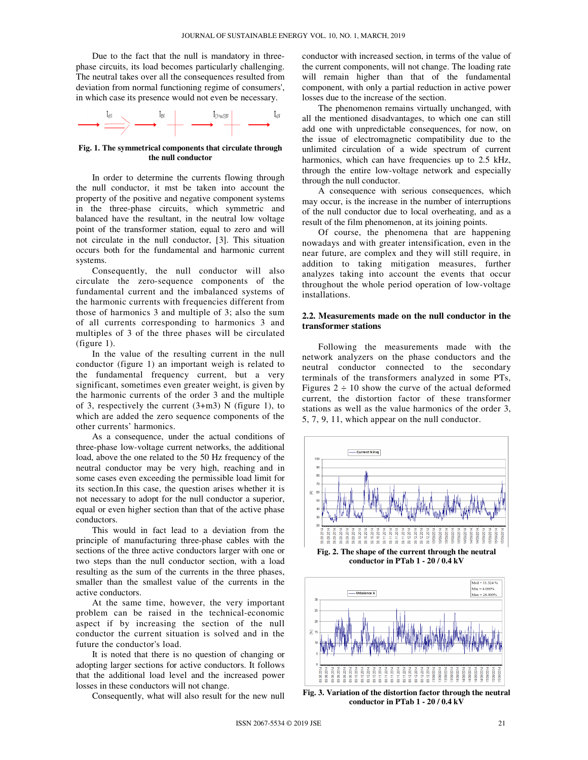Due to the fact that the null is mandatory in threephase circuits, its load becomes particularly challenging. The neutral takes over all the consequences resulted from deviation from normal functioning regime of consumers', in which case its presence would not even be necessary.



#### **Fig. 1. The symmetrical components that circulate through the null conductor**

In order to determine the currents flowing through the null conductor, it mst be taken into account the property of the positive and negative component systems in the three-phase circuits, which symmetric and balanced have the resultant, in the neutral low voltage point of the transformer station, equal to zero and will not circulate in the null conductor, [3]. This situation occurs both for the fundamental and harmonic current systems.

Consequently, the null conductor will also circulate the zero-sequence components of the fundamental current and the imbalanced systems of the harmonic currents with frequencies different from those of harmonics 3 and multiple of 3; also the sum of all currents corresponding to harmonics 3 and multiples of 3 of the three phases will be circulated (figure 1).

In the value of the resulting current in the null conductor (figure 1) an important weigh is related to the fundamental frequency current, but a very significant, sometimes even greater weight, is given by the harmonic currents of the order 3 and the multiple of 3, respectively the current  $(3+m3)$  N (figure 1), to which are added the zero sequence components of the other currents' harmonics.

As a consequence, under the actual conditions of three-phase low-voltage current networks, the additional load, above the one related to the 50 Hz frequency of the neutral conductor may be very high, reaching and in some cases even exceeding the permissible load limit for its section.In this case, the question arises whether it is not necessary to adopt for the null conductor a superior, equal or even higher section than that of the active phase conductors.

This would in fact lead to a deviation from the principle of manufacturing three-phase cables with the sections of the three active conductors larger with one or two steps than the null conductor section, with a load resulting as the sum of the currents in the three phases, smaller than the smallest value of the currents in the active conductors.

At the same time, however, the very important problem can be raised in the technical-economic aspect if by increasing the section of the null conductor the current situation is solved and in the future the conductor's load.

It is noted that there is no question of changing or adopting larger sections for active conductors. It follows that the additional load level and the increased power losses in these conductors will not change.

Consequently, what will also result for the new null

conductor with increased section, in terms of the value of the current components, will not change. The loading rate will remain higher than that of the fundamental component, with only a partial reduction in active power losses due to the increase of the section.

The phenomenon remains virtually unchanged, with all the mentioned disadvantages, to which one can still add one with unpredictable consequences, for now, on the issue of electromagnetic compatibility due to the unlimited circulation of a wide spectrum of current harmonics, which can have frequencies up to 2.5 kHz, through the entire low-voltage network and especially through the null conductor.

A consequence with serious consequences, which may occur, is the increase in the number of interruptions of the null conductor due to local overheating, and as a result of the film phenomenon, at its joining points.

Of course, the phenomena that are happening nowadays and with greater intensification, even in the near future, are complex and they will still require, in addition to taking mitigation measures, further analyzes taking into account the events that occur throughout the whole period operation of low-voltage installations.

#### **2.2. Measurements made on the null conductor in the transformer stations**

Following the measurements made with the network analyzers on the phase conductors and the neutral conductor connected to the secondary terminals of the transformers analyzed in some PTs, Figures  $2 \div 10$  show the curve of the actual deformed current, the distortion factor of these transformer stations as well as the value harmonics of the order 3, 5, 7, 9, 11, which appear on the null conductor.



**Fig. 2. The shape of the current through the neutral conductor in PTab 1 - 20 / 0.4 kV** 



**Fig. 3. Variation of the distortion factor through the neutral conductor in PTab 1 - 20 / 0.4 kV**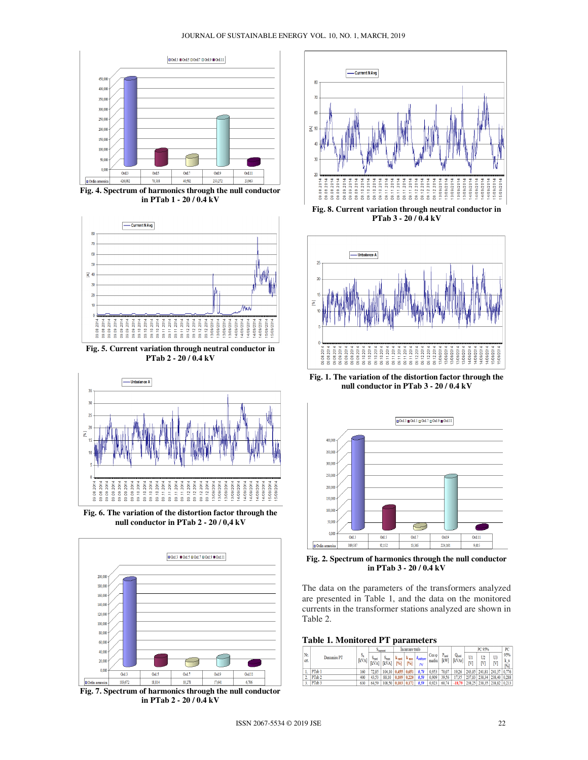#### JOURNAL OF SUSTAINABLE ENERGY VOL. 10, NO. 1, MARCH, 2019



**Fig. 4. Spectrum of harmonics through the null conductor in PTab 1 - 20 / 0.4 kV** 



**PTab 2 - 20 / 0.4 kV** 



**Fig. 6. The variation of the distortion factor through the null conductor in PTab 2 - 20 / 0,4 kV** 



**Fig. 7. Spectrum of harmonics through the null conductor in PTab 2 - 20 / 0.4 kV** 



**Fig. 8. Current variation through neutral conductor in PTab 3 - 20 / 0.4 kV** 



**Fig. 1. The variation of the distortion factor through the null conductor in PTab 3 - 20 / 0.4 kV** 



**Fig. 2. Spectrum of harmonics through the null conductor in PTab 3 - 20 / 0.4 kV** 

The data on the parameters of the transformers analyzed are presented in Table 1, and the data on the monitored currents in the transformer stations analyzed are shown in Table 2.

**Table 1. Monitored PT parameters** 

|             |                   |                | <b>Printing</b>              |                               | Incarcare trafo         |                         |                         |                |                          |                         | PC 95%   |                     |               | PC                 |
|-------------|-------------------|----------------|------------------------------|-------------------------------|-------------------------|-------------------------|-------------------------|----------------|--------------------------|-------------------------|----------|---------------------|---------------|--------------------|
| Nr.<br>crt. | Denumire PT       | $S_n$<br>[kVA] | <b>Drasd</b><br><b>IkVA1</b> | $S_{\rm min}$<br><b>IkVAI</b> | k <sub>ned</sub><br>[%] | $k_{\text{max}}$<br>[%] | <b>Kutilizere</b><br>ma | Cos o<br>mediu | $P_{\text{mol}}$<br>[kW] | $Q_{\rm med}$<br>[kVAr] | U1<br>ſ٧ | U <sub>2</sub><br>M | U<br>ſ٧       | 95%<br>k u<br>[96] |
|             | PTab 1            | 160            | 72.85                        | 104.10                        | 0.455                   | 0.651                   | 0,70                    | 0.953          | 70.07                    | 19.26                   | 243.85   | 241.81 241.37       |               | 0.776              |
| 2.          | PTab 2            | 400            | 43.53                        | 88.10                         | 0.109                   | 0.220                   | 0.50                    | 0.909          | 39.56                    | 735                     | 237,83   | 238.34              | 238.40        | 0.288              |
| 3.          | PTab <sub>3</sub> | 630            | 64.59                        | 108.50                        | 0.103                   | 0.172                   | 0.59                    | 0.923          | 60.74                    | $-18.79$                | 238.25   |                     | 238.35 238.82 | 0.213              |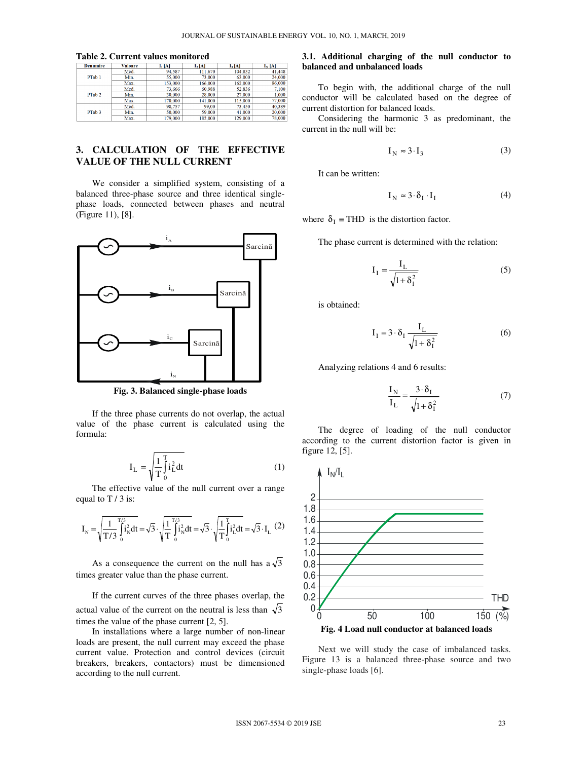|  | Table 2. Current values monitored |  |
|--|-----------------------------------|--|
|--|-----------------------------------|--|

| <b>Denumire</b>   | <b>Valoare</b> | $I_1[A]$ | $I_2[A]$ | $I_3[A]$ | $I_N[A]$ |
|-------------------|----------------|----------|----------|----------|----------|
|                   | Med.           | 94.587   | 111,670  | 104,832  | 41,448   |
| PTab 1            | Min.           | 55,000   | 73,000   | 63,000   | 24,000   |
|                   | Max.           | 153,000  | 166,000  | 162,000  | 86,000   |
|                   | Med.           | 73.666   | 60.988   | 52.836   | 7,100    |
| PTab 2            | Min.           | 30,000   | 28,000   | 27.000   | 1,000    |
|                   | Max.           | 170,000  | 141,000  | 115,000  | 77,000   |
|                   | Med.           | 98,757   | 99.00    | 73,450   | 40,389   |
| PTab <sub>3</sub> | Min.           | 50,000   | 59,000   | 41,000   | 20,000   |
|                   | May            | 179.000  | 182.000  | 129.000  | 78.000   |

# **3. CALCULATION OF THE EFFECTIVE VALUE OF THE NULL CURRENT**

We consider a simplified system, consisting of a balanced three-phase source and three identical singlephase loads, connected between phases and neutral (Figure 11), [8].



**Fig. 3. Balanced single-phase loads** 

If the three phase currents do not overlap, the actual value of the phase current is calculated using the formula:

$$
I_{L} = \sqrt{\frac{1}{T} \int_{0}^{T} i_{L}^{2} dt}
$$
 (1)

The effective value of the null current over a range equal to  $T / 3$  is:

$$
I_{N} = \sqrt{\frac{1}{T/3} \int_{0}^{T/3} \hat{i}_{N}^{2} dt} = \sqrt{3} \cdot \sqrt{\frac{1}{T} \int_{0}^{T/3} \hat{i}_{N}^{2} dt} = \sqrt{3} \cdot \sqrt{\frac{1}{T} \int_{0}^{T} \hat{i}_{L}^{2} dt} = \sqrt{3} \cdot I_{L} (2)
$$

As a consequence the current on the null has  $a\sqrt{3}$ times greater value than the phase current.

If the current curves of the three phases overlap, the actual value of the current on the neutral is less than  $\sqrt{3}$ times the value of the phase current [2, 5].

In installations where a large number of non-linear loads are present, the null current may exceed the phase current value. Protection and control devices (circuit breakers, breakers, contactors) must be dimensioned according to the null current.

## **3.1. Additional charging of the null conductor to balanced and unbalanced loads**

To begin with, the additional charge of the null conductor will be calculated based on the degree of current distortion for balanced loads.

Considering the harmonic 3 as predominant, the current in the null will be:

$$
I_N \approx 3 \cdot I_3 \tag{3}
$$

It can be written:

$$
I_N \approx 3 \cdot \delta_I \cdot I_I \tag{4}
$$

where  $\delta_I$  ≡ THD is the distortion factor.

The phase current is determined with the relation:

$$
I_{I} = \frac{I_{L}}{\sqrt{1 + \delta_{I}^{2}}}
$$
\n<sup>(5)</sup>

is obtained:

$$
I_{I} = 3 \cdot \delta_{I} \frac{I_{L}}{\sqrt{1 + \delta_{I}^{2}}}
$$
 (6)

Analyzing relations 4 and 6 results:

$$
\frac{I_N}{I_L} = \frac{3 \cdot \delta_I}{\sqrt{1 + \delta_I^2}}
$$
(7)

The degree of loading of the null conductor according to the current distortion factor is given in figure 12, [5].



Next we will study the case of imbalanced tasks. Figure 13 is a balanced three-phase source and two single-phase loads [6].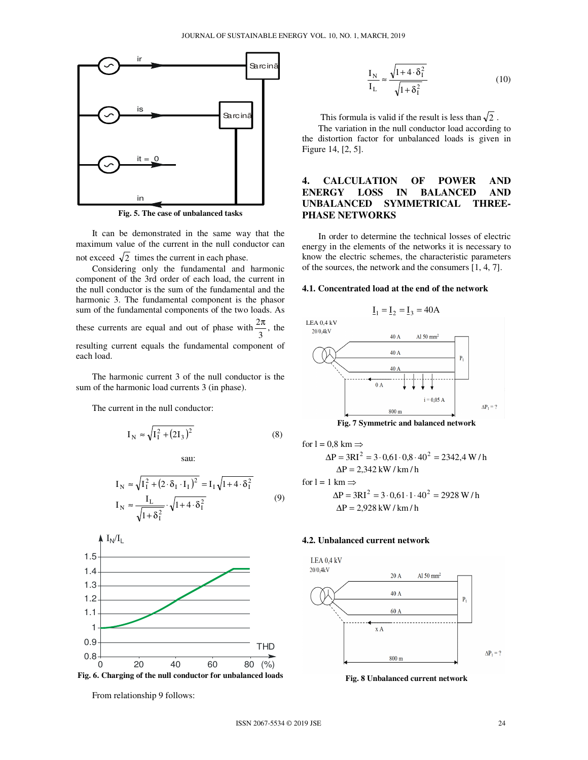

**Fig. 5. The case of unbalanced tasks** 

It can be demonstrated in the same way that the maximum value of the current in the null conductor can not exceed  $\sqrt{2}$  times the current in each phase.

Considering only the fundamental and harmonic component of the 3rd order of each load, the current in the null conductor is the sum of the fundamental and the harmonic 3. The fundamental component is the phasor sum of the fundamental components of the two loads. As these currents are equal and out of phase with  $\frac{27}{3}$  $\frac{2\pi}{2}$ , the

resulting current equals the fundamental component of each load.

The harmonic current 3 of the null conductor is the sum of the harmonic load currents 3 (in phase).

The current in the null conductor:

$$
I_N \approx \sqrt{I_1^2 + (2I_3)^2}
$$
 (8)

sau:

$$
I_N \approx \sqrt{I_I^2 + (2 \cdot \delta_I \cdot I_I)^2} = I_I \sqrt{1 + 4 \cdot \delta_I^2}
$$
  
\n
$$
I_N \approx \frac{I_L}{\sqrt{1 + \delta_I^2}} \cdot \sqrt{1 + 4 \cdot \delta_I^2}
$$
 (9)





From relationship 9 follows:

$$
\frac{I_N}{I_L} \approx \frac{\sqrt{1 + 4 \cdot \delta_I^2}}{\sqrt{1 + \delta_I^2}}
$$
(10)

This formula is valid if the result is less than  $\sqrt{2}$ .

The variation in the null conductor load according to the distortion factor for unbalanced loads is given in Figure 14, [2, 5].

# **4. CALCULATION OF POWER AND ENERGY LOSS IN BALANCED AND UNBALANCED SYMMETRICAL THREE-PHASE NETWORKS**

In order to determine the technical losses of electric energy in the elements of the networks it is necessary to know the electric schemes, the characteristic parameters of the sources, the network and the consumers [1, 4, 7].

#### **4.1. Concentrated load at the end of the network**



**Fig. 7 Symmetric and balanced network** 

for 1 = 0,8 km ⇒  
\n
$$
\Delta P = 3RI^2 = 3.0,61.0,8.40^2 = 2342,4 W/h
$$
\n
$$
\Delta P = 2,342 kW/km/h
$$
\nfor 1 = 1 km ⇒  
\n
$$
\Delta P = 3RI^2 = 3.0,61.1.40^2 = 2928 W/h
$$
\n
$$
\Delta P = 2,928 kW/km/h
$$

## **4.2. Unbalanced current network**



**Fig. 8 Unbalanced current network**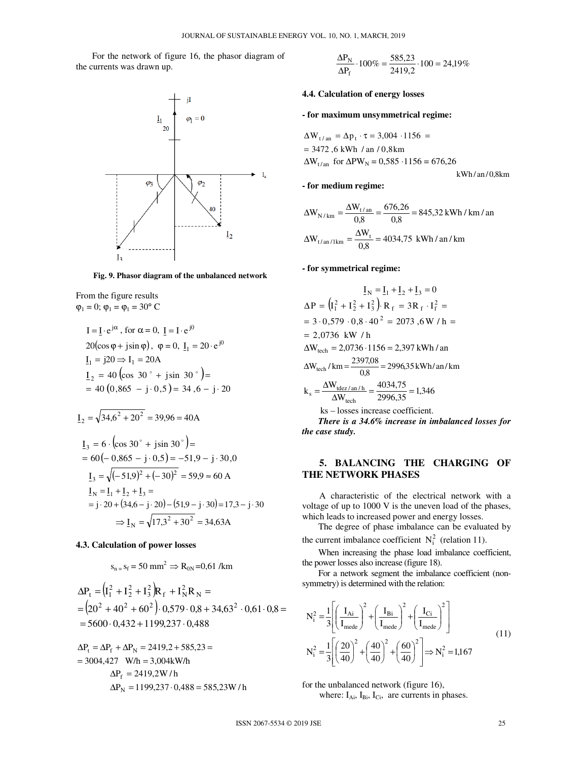For the network of figure 16, the phasor diagram of the currents was drawn up.



**Fig. 9. Phasor diagram of the unbalanced network** 

From the figure results  $\varphi_1 = 0$ ;  $\varphi_1 = \varphi_1 = 30$ ° C

α = ⋅ j I I e , for α = 0, 0j I = I⋅ e 20 , (cosϕ + sinj ϕ) ϕ = 0, 0j 1 I = 20 ⋅ e I 1 = 20j ⇒ I<sup>1</sup> = 20A ( ) 40 ( ) ,0 865 j 5,0 34 6, j 20 I 40 cos 30 jsin 30 <sup>2</sup> = − ⋅ = − ⋅ = + = o o

$$
\underline{I}_2 = \sqrt{34,6^2 + 20^2} = 39,96 = 40A
$$
  

$$
\underline{I}_3 = 6 \cdot (\cos 30^\circ + j \sin 30^\circ) =
$$
  

$$
= 60(-0,865 - j \cdot 0,5) = -51,9 - j \cdot 30,0
$$
  

$$
\underline{I}_3 = \sqrt{(-51,9)^2 + (-30)^2} = 59,9 \approx 60 A
$$

$$
\underline{I}_{N} = \underline{I}_{1} + \underline{I}_{2} + \underline{I}_{3} =
$$
  
= j \cdot 20 + (34,6 - j \cdot 20) - (51,9 - j \cdot 30) = 17,3 - j \cdot 30  

$$
\Rightarrow \underline{I}_{N} = \sqrt{17,3^{2} + 30^{2}} = 34,63A
$$

#### **4.3. Calculation of power losses**

$$
s_{n=}
$$
  $s_f$  = 50 mm<sup>2</sup>  $\Rightarrow$  R<sub>0N</sub>=0,61/km

$$
\begin{aligned} \n\Delta P_t &= \left( I_1^2 + I_2^2 + I_3^2 \right) R_f + I_N^2 R_N = \\ \n&= \left( 20^2 + 40^2 + 60^2 \right) \cdot 0,579 \cdot 0.8 + 34,63^2 \cdot 0,61 \cdot 0.8 = \\ \n&= 5600 \cdot 0,432 + 1199,237 \cdot 0,488 \n\end{aligned}
$$

 $= 3004,427$  W/h  $= 3,004$ kW/h  $\Delta P_t = \Delta P_f + \Delta P_N = 2419, 2 + 585, 23 =$  $\Delta P_f = 2419, 2W/h$  $\Delta P_N = 1199,237 \cdot 0,488 = 585,23W/h$ 

$$
\frac{\Delta P_N}{\Delta P_f} \cdot 100\% = \frac{585,23}{2419,2} \cdot 100 = 24,19\%
$$

## **4.4. Calculation of energy losses**

### **- for maximum unsymmetrical regime:**

$$
\Delta W_{t/\text{an}} = \Delta p_t \cdot \tau = 3,004 \cdot 1156 =
$$
  
= 3472,6 kWh / an / 0,8km  

$$
\Delta W_{t/\text{an}}
$$
 for  $\Delta$ PW<sub>N</sub> = 0,585 \cdot 1156 = 676,26

 $kWh / an / 0,8km$ 

$$
\Delta W_{N/km} = \frac{\Delta W_{t/an}}{0.8} = \frac{676.26}{0.8} = 845.32 \text{ kWh} / \text{km} / \text{an}
$$

$$
\Delta W_{t/an/1km} = \frac{\Delta W_t}{0.8} = 4034.75 \text{ kWh} / \text{an} / \text{km}
$$

#### **- for symmetrical regime:**

**- for medium regime:**

$$
I_{N} = I_{1} + I_{2} + I_{3} = 0
$$
  
\n
$$
\Delta P = (I_{1}^{2} + I_{2}^{2} + I_{3}^{2}). R_{f} = 3R_{f} \cdot I_{f}^{2} =
$$
  
\n
$$
= 3 \cdot 0,579 \cdot 0,8 \cdot 40^{2} = 2073,6 W / h =
$$
  
\n
$$
= 2,0736 \text{ kW/h}
$$
  
\n
$$
\Delta W_{\text{tech}} = 2,0736 \cdot 1156 = 2,397 \text{ kWh/nn}
$$
  
\n
$$
\Delta W_{\text{tech}} / \text{km} = \frac{2397,08}{0,8} = 2996,35 \text{ kWh/nn/km}
$$
  
\n
$$
k_{s} = \frac{\Delta W_{\text{tdez/n}}}{\Delta W_{\text{tech}}} = \frac{4034,75}{2996,35} = 1,346
$$
  
\n
$$
ks - losses increase coefficient.
$$
  
\nThere is a 34.6% increase in imbalanced losses for  
\nthe case study.

## **5. BALANCING THE CHARGING OF THE NETWORK PHASES**

A characteristic of the electrical network with a voltage of up to 1000 V is the uneven load of the phases, which leads to increased power and energy losses.

The degree of phase imbalance can be evaluated by the current imbalance coefficient  $N_i^2$  (relation 11).

When increasing the phase load imbalance coefficient, the power losses also increase (figure 18).

For a network segment the imbalance coefficient (nonsymmetry) is determined with the relation:

$$
N_i^2 = \frac{1}{3} \left[ \left( \frac{I_{Ai}}{I_{\text{mede}}} \right)^2 + \left( \frac{I_{Bi}}{I_{\text{mede}}} \right)^2 + \left( \frac{I_{Ci}}{I_{\text{mede}}} \right)^2 \right]
$$
  

$$
N_i^2 = \frac{1}{3} \left[ \left( \frac{20}{40} \right)^2 + \left( \frac{40}{40} \right)^2 + \left( \frac{60}{40} \right)^2 \right] \Rightarrow N_i^2 = 1,167
$$
 (11)

for the unbalanced network (figure 16), where:  $I_{Ai}$ ,  $I_{Bi}$ ,  $I_{Ci}$ , are currents in phases.